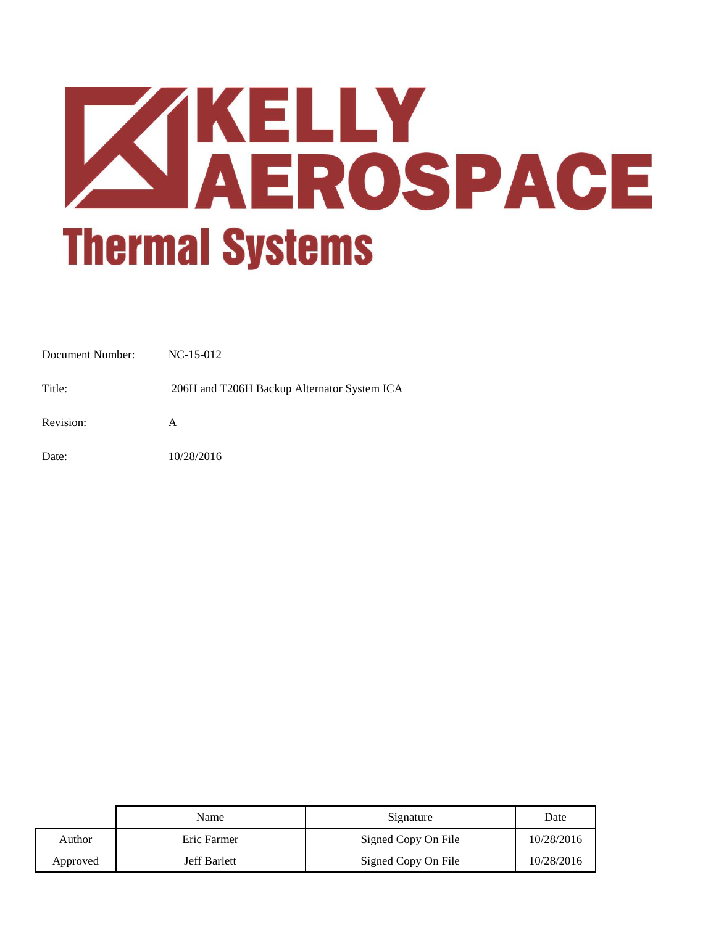

| Document Number: | $NC-15-012$                                 |
|------------------|---------------------------------------------|
| Title:           | 206H and T206H Backup Alternator System ICA |
| Revision:        | A                                           |
| Date:            | 10/28/2016                                  |

|          | Name                | Signature           | Date       |
|----------|---------------------|---------------------|------------|
| Author   | Eric Farmer         | Signed Copy On File | 10/28/2016 |
| Approved | <b>Jeff Barlett</b> | Signed Copy On File | 10/28/2016 |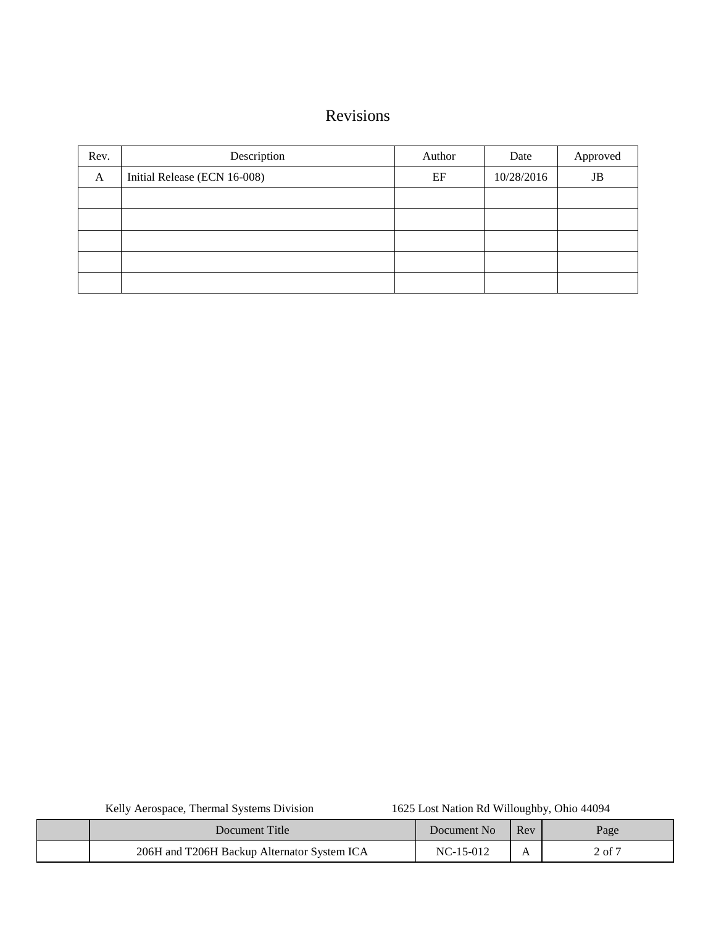# Revisions

| Rev. | Description                  | Author | Date       | Approved |
|------|------------------------------|--------|------------|----------|
| A    | Initial Release (ECN 16-008) | EF     | 10/28/2016 | JB       |
|      |                              |        |            |          |
|      |                              |        |            |          |
|      |                              |        |            |          |
|      |                              |        |            |          |
|      |                              |        |            |          |

| Document Title                              | Document No | Rev | Page   |
|---------------------------------------------|-------------|-----|--------|
| 206H and T206H Backup Alternator System ICA | $NC-15-012$ |     | 2 of 7 |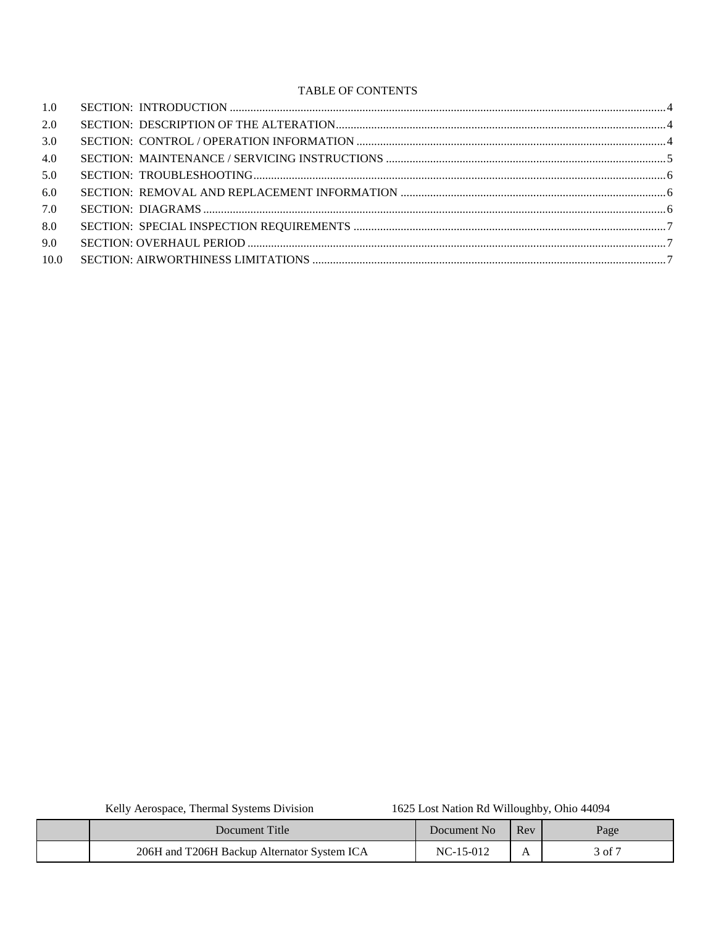### TABLE OF CONTENTS

| 1.0  |  |
|------|--|
| 2.0  |  |
| 3.0  |  |
| 4.0  |  |
| 5.0  |  |
| 6.0  |  |
| 7.0  |  |
| 8.0  |  |
| 9.0  |  |
| 10.0 |  |
|      |  |

Kelly Aerospace, Thermal Systems Division

#### 1625 Lost Nation Rd Willoughby, Ohio 44094

| Document Title                              | Document No | Rev | Page   |
|---------------------------------------------|-------------|-----|--------|
| 206H and T206H Backup Alternator System ICA | NC-15-012   |     | of $7$ |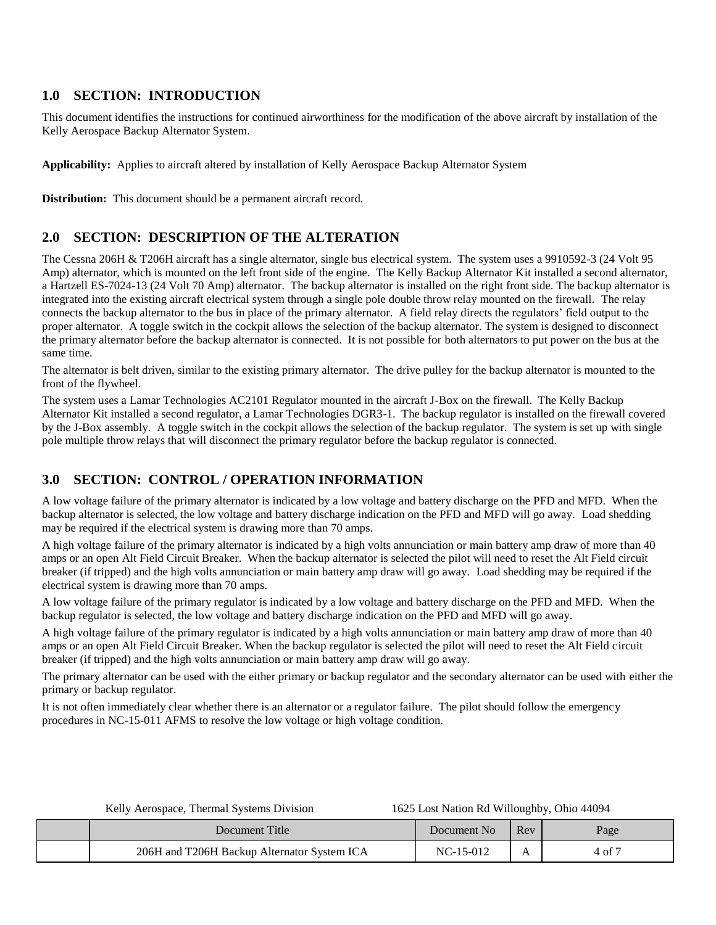## <span id="page-3-0"></span>**1.0 SECTION: INTRODUCTION**

This document identifies the instructions for continued airworthiness for the modification of the above aircraft by installation of the Kelly Aerospace Backup Alternator System.

**Applicability:** Applies to aircraft altered by installation of Kelly Aerospace Backup Alternator System

**Distribution:** This document should be a permanent aircraft record.

# <span id="page-3-1"></span>**2.0 SECTION: DESCRIPTION OF THE ALTERATION**

The Cessna 206H & T206H aircraft has a single alternator, single bus electrical system. The system uses a 9910592-3 (24 Volt 95 Amp) alternator, which is mounted on the left front side of the engine. The Kelly Backup Alternator Kit installed a second alternator, a Hartzell ES-7024-13 (24 Volt 70 Amp) alternator. The backup alternator is installed on the right front side. The backup alternator is integrated into the existing aircraft electrical system through a single pole double throw relay mounted on the firewall. The relay connects the backup alternator to the bus in place of the primary alternator. A field relay directs the regulators' field output to the proper alternator. A toggle switch in the cockpit allows the selection of the backup alternator. The system is designed to disconnect the primary alternator before the backup alternator is connected. It is not possible for both alternators to put power on the bus at the same time.

The alternator is belt driven, similar to the existing primary alternator. The drive pulley for the backup alternator is mounted to the front of the flywheel.

The system uses a Lamar Technologies AC2101 Regulator mounted in the aircraft J-Box on the firewall. The Kelly Backup Alternator Kit installed a second regulator, a Lamar Technologies DGR3-1. The backup regulator is installed on the firewall covered by the J-Box assembly. A toggle switch in the cockpit allows the selection of the backup regulator. The system is set up with single pole multiple throw relays that will disconnect the primary regulator before the backup regulator is connected.

# <span id="page-3-2"></span>**3.0 SECTION: CONTROL / OPERATION INFORMATION**

A low voltage failure of the primary alternator is indicated by a low voltage and battery discharge on the PFD and MFD. When the backup alternator is selected, the low voltage and battery discharge indication on the PFD and MFD will go away. Load shedding may be required if the electrical system is drawing more than 70 amps.

A high voltage failure of the primary alternator is indicated by a high volts annunciation or main battery amp draw of more than 40 amps or an open Alt Field Circuit Breaker. When the backup alternator is selected the pilot will need to reset the Alt Field circuit breaker (if tripped) and the high volts annunciation or main battery amp draw will go away. Load shedding may be required if the electrical system is drawing more than 70 amps.

A low voltage failure of the primary regulator is indicated by a low voltage and battery discharge on the PFD and MFD. When the backup regulator is selected, the low voltage and battery discharge indication on the PFD and MFD will go away.

A high voltage failure of the primary regulator is indicated by a high volts annunciation or main battery amp draw of more than 40 amps or an open Alt Field Circuit Breaker. When the backup regulator is selected the pilot will need to reset the Alt Field circuit breaker (if tripped) and the high volts annunciation or main battery amp draw will go away.

The primary alternator can be used with the either primary or backup regulator and the secondary alternator can be used with either the primary or backup regulator.

It is not often immediately clear whether there is an alternator or a regulator failure. The pilot should follow the emergency procedures in NC-15-011 AFMS to resolve the low voltage or high voltage condition.

|  | Kelly Aerospace, Thermal Systems Division |  |  |  |
|--|-------------------------------------------|--|--|--|
|  |                                           |  |  |  |

| Document Title                              | Document No | Rev | Page              |
|---------------------------------------------|-------------|-----|-------------------|
| 206H and T206H Backup Alternator System ICA | NC-15-012   |     | $4 \text{ of } 7$ |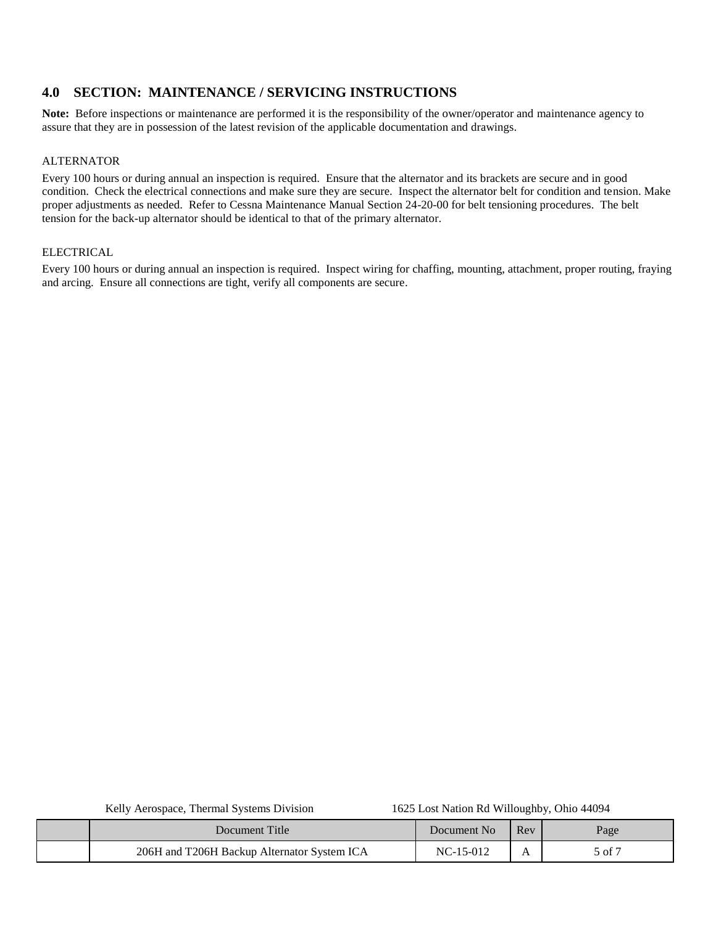## <span id="page-4-0"></span>**4.0 SECTION: MAINTENANCE / SERVICING INSTRUCTIONS**

**Note:** Before inspections or maintenance are performed it is the responsibility of the owner/operator and maintenance agency to assure that they are in possession of the latest revision of the applicable documentation and drawings.

#### ALTERNATOR

Every 100 hours or during annual an inspection is required. Ensure that the alternator and its brackets are secure and in good condition. Check the electrical connections and make sure they are secure. Inspect the alternator belt for condition and tension. Make proper adjustments as needed. Refer to Cessna Maintenance Manual Section 24-20-00 for belt tensioning procedures. The belt tension for the back-up alternator should be identical to that of the primary alternator.

#### **ELECTRICAL**

Every 100 hours or during annual an inspection is required. Inspect wiring for chaffing, mounting, attachment, proper routing, fraying and arcing. Ensure all connections are tight, verify all components are secure.

| Document Title                              | Document No | Rev | Page                  |
|---------------------------------------------|-------------|-----|-----------------------|
| 206H and T206H Backup Alternator System ICA | $NC-15-012$ |     | $5$ of $\overline{2}$ |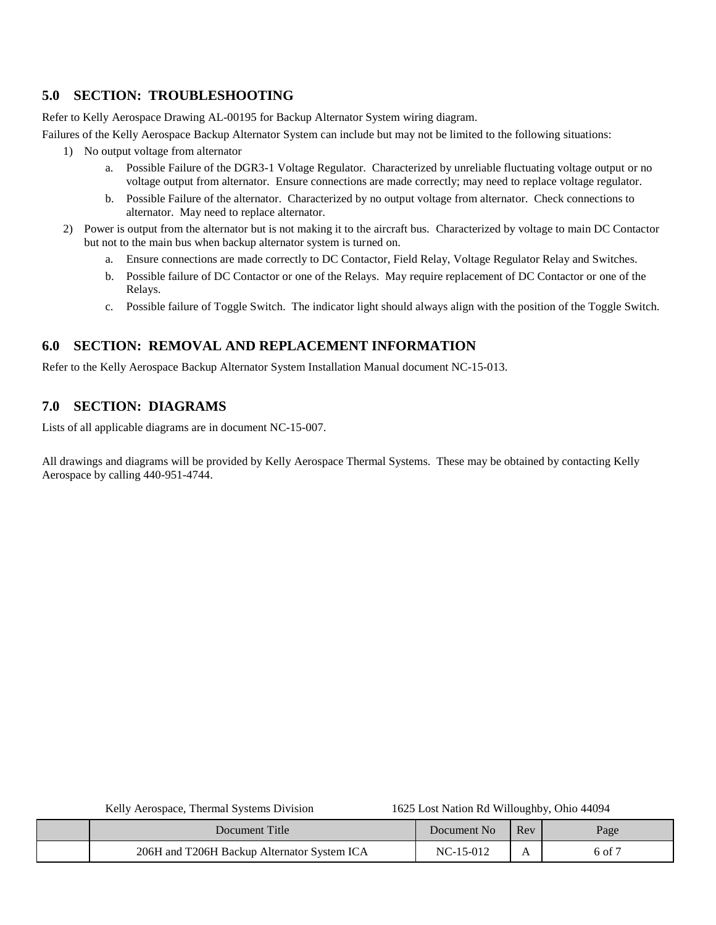# <span id="page-5-0"></span>**5.0 SECTION: TROUBLESHOOTING**

Refer to Kelly Aerospace Drawing AL-00195 for Backup Alternator System wiring diagram.

Failures of the Kelly Aerospace Backup Alternator System can include but may not be limited to the following situations:

- 1) No output voltage from alternator
	- a. Possible Failure of the DGR3-1 Voltage Regulator. Characterized by unreliable fluctuating voltage output or no voltage output from alternator. Ensure connections are made correctly; may need to replace voltage regulator.
	- b. Possible Failure of the alternator. Characterized by no output voltage from alternator. Check connections to alternator. May need to replace alternator.
- 2) Power is output from the alternator but is not making it to the aircraft bus. Characterized by voltage to main DC Contactor but not to the main bus when backup alternator system is turned on.
	- a. Ensure connections are made correctly to DC Contactor, Field Relay, Voltage Regulator Relay and Switches.
	- b. Possible failure of DC Contactor or one of the Relays. May require replacement of DC Contactor or one of the Relays.
	- c. Possible failure of Toggle Switch. The indicator light should always align with the position of the Toggle Switch.

# <span id="page-5-1"></span>**6.0 SECTION: REMOVAL AND REPLACEMENT INFORMATION**

Refer to the Kelly Aerospace Backup Alternator System Installation Manual document NC-15-013.

# <span id="page-5-2"></span>**7.0 SECTION: DIAGRAMS**

Lists of all applicable diagrams are in document NC-15-007.

All drawings and diagrams will be provided by Kelly Aerospace Thermal Systems. These may be obtained by contacting Kelly Aerospace by calling 440-951-4744.

| Document Title                              | Document No | Rev | Page              |
|---------------------------------------------|-------------|-----|-------------------|
| 206H and T206H Backup Alternator System ICA | NC-15-012   |     | $6 \text{ of } 7$ |